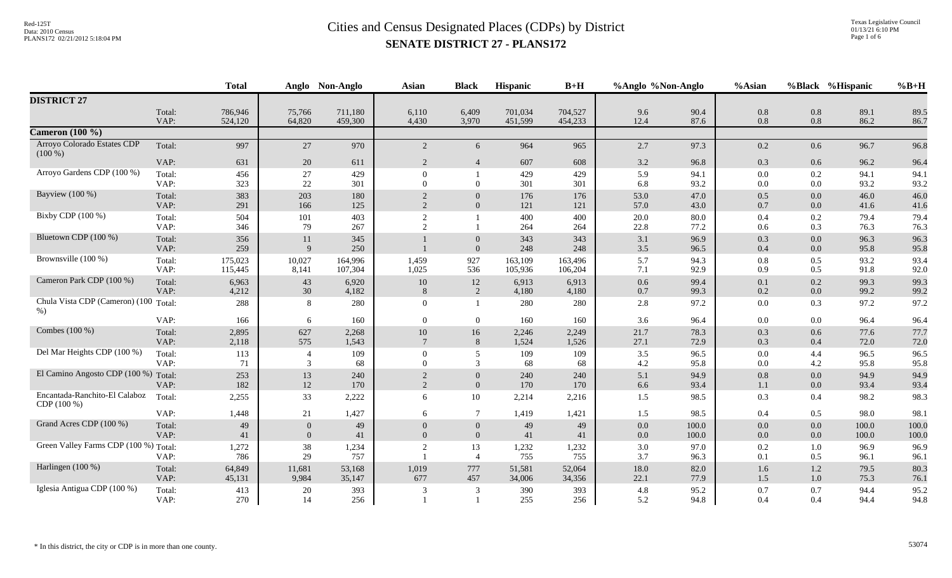|                                                 |                | <b>Total</b>       |                                | Anglo Non-Anglo    | <b>Asian</b>               | <b>Black</b>               | <b>Hispanic</b>    | $B+H$              | %Anglo %Non-Anglo |                | %Asian             |            | %Black %Hispanic | $%B+H$         |
|-------------------------------------------------|----------------|--------------------|--------------------------------|--------------------|----------------------------|----------------------------|--------------------|--------------------|-------------------|----------------|--------------------|------------|------------------|----------------|
| <b>DISTRICT 27</b>                              |                |                    |                                |                    |                            |                            |                    |                    |                   |                |                    |            |                  |                |
|                                                 | Total:<br>VAP: | 786,946<br>524,120 | 75,766<br>64,820               | 711,180<br>459,300 | 6,110<br>4,430             | 6,409<br>3,970             | 701,034<br>451,599 | 704,527<br>454,233 | 9.6<br>12.4       | 90.4<br>87.6   | 0.8<br>0.8         | 0.8<br>0.8 | 89.1<br>86.2     | 89.5<br>86.7   |
| Cameron $(100 \%)$                              |                |                    |                                |                    |                            |                            |                    |                    |                   |                |                    |            |                  |                |
| Arroyo Colorado Estates CDP<br>$(100\%)$        | Total:         | 997                | 27                             | 970                | 2                          | 6                          | 964                | 965                | 2.7               | 97.3           | 0.2                | 0.6        | 96.7             | 96.8           |
|                                                 | VAP:           | 631                | 20                             | 611                | 2                          | $\overline{4}$             | 607                | 608                | 3.2               | 96.8           | 0.3                | 0.6        | 96.2             | 96.4           |
| Arroyo Gardens CDP (100 %)                      | Total:<br>VAP: | 456<br>323         | $27\,$<br>22                   | 429<br>301         | $\Omega$<br>$\Omega$       | $\Omega$                   | 429<br>301         | 429<br>301         | 5.9<br>6.8        | 94.1<br>93.2   | $0.0\,$<br>$0.0\,$ | 0.2<br>0.0 | 94.1<br>93.2     | 94.1<br>93.2   |
| Bayview (100 %)                                 | Total:<br>VAP: | 383<br>291         | 203<br>166                     | 180<br>125         | 2<br>2                     | $\Omega$<br>$\overline{0}$ | 176<br>121         | 176<br>121         | 53.0<br>57.0      | 47.0<br>43.0   | 0.5<br>0.7         | 0.0<br>0.0 | 46.0<br>41.6     | 46.0<br>41.6   |
| Bixby CDP (100 %)                               | Total:<br>VAP: | 504<br>346         | 101<br>79                      | 403<br>267         | $\overline{2}$<br>2        |                            | 400<br>264         | 400<br>264         | 20.0<br>22.8      | 80.0<br>77.2   | 0.4<br>0.6         | 0.2<br>0.3 | 79.4<br>76.3     | 79.4<br>76.3   |
| Bluetown CDP (100 %)                            | Total:<br>VAP: | 356<br>259         | 11<br>9                        | 345<br>250         |                            | $\Omega$<br>$\overline{0}$ | 343<br>248         | 343<br>248         | 3.1<br>3.5        | 96.9<br>96.5   | 0.3<br>0.4         | 0.0<br>0.0 | 96.3<br>95.8     | 96.3<br>95.8   |
| Brownsville (100 %)                             | Total:<br>VAP: | 175,023<br>115,445 | 10,027<br>8,141                | 164,996<br>107,304 | 1,459<br>1,025             | 927<br>536                 | 163,109<br>105,936 | 163,496<br>106,204 | 5.7<br>7.1        | 94.3<br>92.9   | 0.8<br>0.9         | 0.5<br>0.5 | 93.2<br>91.8     | 93.4<br>92.0   |
| Cameron Park CDP (100 %)                        | Total:<br>VAP: | 6,963<br>4,212     | 43<br>30                       | 6,920<br>4,182     | 10<br>8                    | 12<br>2                    | 6,913<br>4,180     | 6,913<br>4,180     | 0.6<br>0.7        | 99.4<br>99.3   | 0.1<br>0.2         | 0.2<br>0.0 | 99.3<br>99.2     | 99.3<br>99.2   |
| Chula Vista CDP (Cameron) (100 Total:<br>$\%$ ) |                | 288                | 8                              | 280                | $\Omega$                   | $\overline{1}$             | 280                | 280                | 2.8               | 97.2           | $0.0\,$            | 0.3        | 97.2             | 97.2           |
|                                                 | VAP:           | 166                | 6                              | 160                | $\Omega$                   | $\theta$                   | 160                | 160                | 3.6               | 96.4           | $0.0\,$            | 0.0        | 96.4             | 96.4           |
| Combes (100 %)                                  | Total:<br>VAP: | 2,895<br>2,118     | 627<br>575                     | 2,268<br>1,543     | 10<br>$\overline{7}$       | 16<br>8                    | 2,246<br>1,524     | 2,249<br>1,526     | 21.7<br>27.1      | 78.3<br>72.9   | 0.3<br>0.3         | 0.6<br>0.4 | 77.6<br>72.0     | 77.7<br>72.0   |
| Del Mar Heights CDP (100 %)                     | Total:<br>VAP: | 113<br>71          | $\overline{4}$<br>3            | 109<br>68          | $\Omega$<br>$\Omega$       | 5<br>3                     | 109<br>68          | 109<br>68          | 3.5<br>4.2        | 96.5<br>95.8   | $0.0\,$<br>$0.0\,$ | 4.4<br>4.2 | 96.5<br>95.8     | 96.5<br>95.8   |
| El Camino Angosto CDP (100 %) Total:            | VAP:           | 253<br>182         | 13<br>12                       | 240<br>170         | $\overline{2}$<br>2        | $\Omega$<br>$\overline{0}$ | 240<br>170         | 240<br>170         | 5.1<br>6.6        | 94.9<br>93.4   | 0.8<br>1.1         | 0.0<br>0.0 | 94.9<br>93.4     | 94.9<br>93.4   |
| Encantada-Ranchito-El Calaboz<br>CDP (100 %)    | Total:         | 2,255              | 33                             | 2,222              | 6                          | 10                         | 2,214              | 2,216              | 1.5               | 98.5           | 0.3                | 0.4        | 98.2             | 98.3           |
|                                                 | VAP:           | 1,448              | 21                             | 1,427              | 6                          | $\tau$                     | 1,419              | 1,421              | 1.5               | 98.5           | 0.4                | 0.5        | 98.0             | 98.1           |
| Grand Acres CDP (100 %)                         | Total:<br>VAP: | 49<br>41           | $\overline{0}$<br>$\mathbf{0}$ | 49<br>41           | $\Omega$<br>$\overline{0}$ | $\Omega$<br>$\overline{0}$ | 49<br>41           | 49<br>41           | 0.0<br>$0.0\,$    | 100.0<br>100.0 | 0.0<br>$0.0\,$     | 0.0<br>0.0 | 100.0<br>100.0   | 100.0<br>100.0 |
| Green Valley Farms CDP (100 %) Total:           | VAP:           | 1,272<br>786       | 38<br>29                       | 1,234<br>757       | 2                          | 13<br>$\overline{4}$       | 1,232<br>755       | 1,232<br>755       | 3.0<br>3.7        | 97.0<br>96.3   | 0.2<br>0.1         | 1.0<br>0.5 | 96.9<br>96.1     | 96.9<br>96.1   |
| Harlingen (100 %)                               | Total:<br>VAP: | 64,849<br>45,131   | 11,681<br>9,984                | 53,168<br>35,147   | 1,019<br>677               | 777<br>457                 | 51,581<br>34,006   | 52,064<br>34,356   | 18.0<br>22.1      | 82.0<br>77.9   | 1.6<br>1.5         | 1.2<br>1.0 | 79.5<br>75.3     | 80.3<br>76.1   |
| Iglesia Antigua CDP (100 %)                     | Total:<br>VAP: | 413<br>270         | 20<br>14                       | 393<br>256         | 3                          | 3                          | 390<br>255         | 393<br>256         | 4.8<br>5.2        | 95.2<br>94.8   | 0.7<br>0.4         | 0.7<br>0.4 | 94.4<br>94.4     | 95.2<br>94.8   |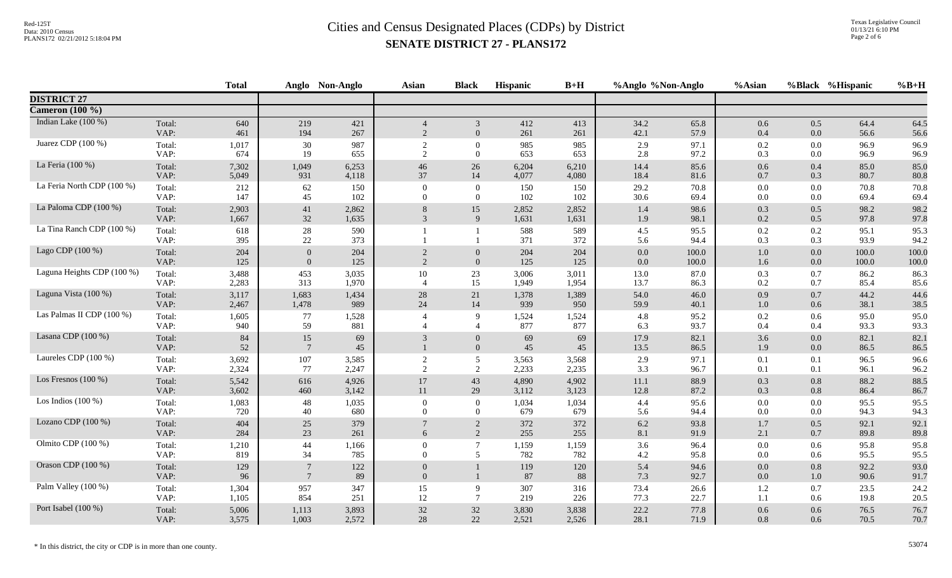|                            |                | <b>Total</b> |                       | Anglo Non-Anglo | <b>Asian</b>               | <b>Black</b>                             | <b>Hispanic</b> | $B+H$        | %Anglo %Non-Anglo |              | %Asian     |                | %Black %Hispanic | $%B+H$       |
|----------------------------|----------------|--------------|-----------------------|-----------------|----------------------------|------------------------------------------|-----------------|--------------|-------------------|--------------|------------|----------------|------------------|--------------|
| <b>DISTRICT 27</b>         |                |              |                       |                 |                            |                                          |                 |              |                   |              |            |                |                  |              |
| Cameron $(100\%)$          |                |              |                       |                 |                            |                                          |                 |              |                   |              |            |                |                  |              |
| Indian Lake (100 %)        | Total:         | 640          | 219                   | 421             | $\overline{4}$             | 3                                        | 412             | 413          | 34.2              | 65.8         | 0.6        | 0.5            | 64.4             | 64.5         |
|                            | VAP:           | 461          | 194                   | 267             | $\overline{2}$             | $\overline{0}$                           | 261             | 261          | 42.1              | 57.9         | 0.4        | 0.0            | 56.6             | 56.6         |
| Juarez CDP $(100\%)$       | Total:         | 1,017        | 30                    | 987             | 2                          | $\Omega$                                 | 985             | 985          | 2.9               | 97.1         | 0.2        | 0.0            | 96.9             | 96.9         |
|                            | VAP:           | 674          | 19                    | 655             | $\overline{2}$             | $\overline{0}$                           | 653             | 653          | 2.8               | 97.2         | 0.3        | 0.0            | 96.9             | 96.9         |
| La Feria (100 %)           | Total:         | 7,302        | 1,049                 | 6,253           | 46                         | 26                                       | 6,204           | 6,210        | 14.4              | 85.6         | 0.6        | 0.4            | 85.0             | 85.0         |
|                            | VAP:           | 5,049        | 931                   | 4,118           | 37                         | 14                                       | 4,077           | 4,080        | 18.4              | 81.6         | 0.7        | 0.3            | 80.7             | 80.8         |
| La Feria North CDP (100 %) | Total:         | 212          | 62                    | 150             | $\theta$                   | $\mathbf{0}$                             | 150             | 150          | 29.2              | 70.8         | 0.0        | $0.0\,$        | 70.8             | 70.8         |
|                            | VAP:           | 147          | 45                    | 102             | $\Omega$                   | $\theta$                                 | 102             | 102          | 30.6              | 69.4         | 0.0        | 0.0            | 69.4             | 69.4         |
| La Paloma CDP (100 %)      | Total:         | 2,903        | 41                    | 2,862           | 8                          | 15                                       | 2,852           | 2,852        | 1.4               | 98.6         | 0.3        | 0.5            | 98.2             | 98.2         |
|                            | VAP:           | 1,667        | 32                    | 1,635           | $\mathfrak{Z}$             | 9                                        | 1,631           | 1,631        | 1.9               | 98.1         | 0.2        | 0.5            | 97.8             | 97.8         |
| La Tina Ranch CDP (100 %)  | Total:<br>VAP: | 618<br>395   | $28\,$<br>$22\,$      | 590<br>373      |                            |                                          | 588<br>371      | 589<br>372   | 4.5<br>5.6        | 95.5<br>94.4 | 0.2<br>0.3 | $0.2\,$<br>0.3 | 95.1<br>93.9     | 95.3<br>94.2 |
| Lago CDP (100 %)           | Total:         | 204          | $\mathbf{0}$          | 204             | $\overline{2}$             | $\overline{0}$                           | 204             | 204          | 0.0               | 100.0        | 1.0        | 0.0            | 100.0            | 100.0        |
|                            | VAP:           | 125          | $\overline{0}$        | 125             | $\overline{2}$             | $\overline{0}$                           | 125             | 125          | 0.0               | 100.0        | 1.6        | 0.0            | 100.0            | 100.0        |
| Laguna Heights CDP (100 %) | Total:         | 3,488        | 453                   | 3,035           | 10                         | 23                                       | 3,006           | 3,011        | 13.0              | 87.0         | 0.3        | 0.7            | 86.2             | 86.3         |
|                            | VAP:           | 2,283        | 313                   | 1,970           | $\overline{4}$             | 15                                       | 1,949           | 1,954        | 13.7              | 86.3         | 0.2        | 0.7            | 85.4             | 85.6         |
| Laguna Vista (100 %)       | Total:         | 3,117        | 1,683                 | 1,434           | 28                         | 21                                       | 1,378           | 1,389        | 54.0              | 46.0         | 0.9        | $0.7\,$        | 44.2             | 44.6         |
|                            | VAP:           | 2,467        | 1,478                 | 989             | 24                         | 14                                       | 939             | 950          | 59.9              | 40.1         | 1.0        | 0.6            | 38.1             | 38.5         |
| Las Palmas II CDP (100 %)  | Total:<br>VAP: | 1,605<br>940 | 77<br>59              | 1,528<br>881    |                            | $\mathbf{Q}$<br>$\overline{\mathcal{A}}$ | 1,524<br>877    | 1,524<br>877 | 4.8<br>6.3        | 95.2<br>93.7 | 0.2<br>0.4 | 0.6<br>0.4     | 95.0<br>93.3     | 95.0<br>93.3 |
| Lasana CDP $(100\%)$       | Total:<br>VAP: | 84<br>52     | 15<br>$7\phantom{.0}$ | 69<br>45        | 3                          | $\overline{0}$<br>$\overline{0}$         | 69<br>45        | 69<br>45     | 17.9<br>13.5      | 82.1<br>86.5 | 3.6<br>1.9 | 0.0<br>0.0     | 82.1<br>86.5     | 82.1<br>86.5 |
| Laureles CDP (100 %)       | Total:         | 3,692        | 107                   | 3,585           | $\boldsymbol{2}$           | 5                                        | 3,563           | 3,568        | 2.9               | 97.1         | 0.1        | 0.1            | 96.5             | 96.6         |
|                            | VAP:           | 2,324        | 77                    | 2,247           | $\overline{2}$             | 2                                        | 2,233           | 2,235        | 3.3               | 96.7         | 0.1        | 0.1            | 96.1             | 96.2         |
| Los Fresnos $(100\%)$      | Total:         | 5,542        | 616                   | 4,926           | 17                         | 43                                       | 4,890           | 4,902        | 11.1              | 88.9         | 0.3        | $0.8\,$        | 88.2             | 88.5         |
|                            | VAP:           | 3,602        | 460                   | 3,142           | 11                         | 29                                       | 3,112           | 3,123        | 12.8              | 87.2         | 0.3        | $0.8\,$        | 86.4             | 86.7         |
| Los Indios $(100\%)$       | Total:         | 1,083        | 48                    | 1,035           | $\theta$                   | $\overline{0}$                           | 1,034           | 1,034        | 4.4               | 95.6         | 0.0        | 0.0            | 95.5             | 95.5         |
|                            | VAP:           | 720          | 40                    | 680             | $\Omega$                   | $\Omega$                                 | 679             | 679          | 5.6               | 94.4         | 0.0        | 0.0            | 94.3             | 94.3         |
| Lozano CDP $(100\%)$       | Total:         | 404          | $25\,$                | 379             | $7\phantom{.0}$            | 2                                        | 372             | 372          | 6.2               | 93.8         | 1.7        | 0.5            | 92.1             | 92.1         |
|                            | VAP:           | 284          | 23                    | 261             | 6                          | 2                                        | 255             | 255          | 8.1               | 91.9         | 2.1        | 0.7            | 89.8             | 89.8         |
| Olmito CDP (100 %)         | Total:         | 1,210        | 44                    | 1,166           | $\theta$                   | $\overline{7}$                           | 1,159           | 1,159        | 3.6               | 96.4         | 0.0        | 0.6            | 95.8             | 95.8         |
|                            | VAP:           | 819          | 34                    | 785             | $\overline{0}$             | 5                                        | 782             | 782          | 4.2               | 95.8         | $0.0\,$    | 0.6            | 95.5             | 95.5         |
| Orason CDP (100 %)         | Total:<br>VAP: | 129<br>96    | $\overline{7}$        | 122<br>89       | $\overline{0}$<br>$\Omega$ | $\overline{1}$                           | 119<br>87       | 120<br>88    | 5.4<br>7.3        | 94.6<br>92.7 | 0.0<br>0.0 | 0.8<br>$1.0\,$ | 92.2<br>90.6     | 93.0<br>91.7 |
| Palm Valley (100 %)        | Total:         | 1,304        | 957                   | 347             | 15                         | 9                                        | 307             | 316          | 73.4              | 26.6         | 1.2        | 0.7            | 23.5             | 24.2         |
|                            | VAP:           | 1,105        | 854                   | 251             | 12                         | $\overline{7}$                           | 219             | 226          | 77.3              | 22.7         | 1.1        | 0.6            | 19.8             | 20.5         |
| Port Isabel (100 %)        | Total:         | 5,006        | 1,113                 | 3,893           | 32                         | $32\,$                                   | 3,830           | 3,838        | 22.2              | 77.8         | 0.6        | 0.6            | 76.5             | 76.7         |
|                            | VAP:           | 3,575        | 1,003                 | 2,572           | 28                         | 22                                       | 2,521           | 2,526        | 28.1              | 71.9         | 0.8        | 0.6            | 70.5             | 70.7         |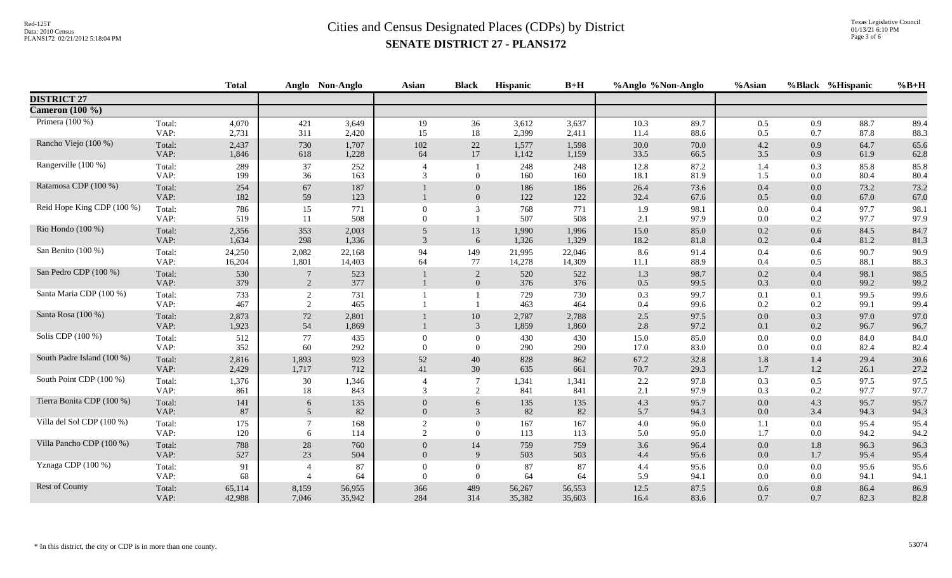|                            |                | <b>Total</b>   |                     | Anglo Non-Anglo | <b>Asian</b>         | <b>Black</b>                     | Hispanic       | $B+H$          | %Anglo %Non-Anglo |              | %Asian     |            | %Black %Hispanic | $%B+H$       |
|----------------------------|----------------|----------------|---------------------|-----------------|----------------------|----------------------------------|----------------|----------------|-------------------|--------------|------------|------------|------------------|--------------|
| <b>DISTRICT 27</b>         |                |                |                     |                 |                      |                                  |                |                |                   |              |            |            |                  |              |
| Cameron (100 %)            |                |                |                     |                 |                      |                                  |                |                |                   |              |            |            |                  |              |
| Primera $(100\%)$          | Total:         | 4,070          | 421                 | 3,649           | 19                   | 36                               | 3,612          | 3,637          | 10.3              | 89.7         | 0.5        | 0.9        | 88.7             | 89.4         |
|                            | VAP:           | 2,731          | 311                 | 2,420           | 15                   | 18                               | 2,399          | 2,411          | 11.4              | 88.6         | 0.5        | 0.7        | 87.8             | 88.3         |
| Rancho Viejo (100 %)       | Total:         | 2,437          | 730                 | 1,707           | 102                  | $22\,$                           | 1,577          | 1,598          | 30.0              | 70.0         | 4.2        | 0.9        | 64.7             | 65.6         |
|                            | VAP:           | 1,846          | 618                 | 1,228           | 64                   | 17                               | 1,142          | 1,159          | 33.5              | 66.5         | 3.5        | 0.9        | 61.9             | 62.8         |
| Rangerville (100 %)        | Total:         | 289            | 37                  | 252             | $\overline{4}$       | $\mathbf{1}$                     | 248            | 248            | 12.8              | 87.2         | 1.4        | 0.3        | 85.8             | 85.8         |
|                            | VAP:           | 199            | 36                  | 163             | 3                    | $\Omega$                         | 160            | 160            | 18.1              | 81.9         | 1.5        | 0.0        | 80.4             | 80.4         |
| Ratamosa CDP (100 %)       | Total:<br>VAP: | 254<br>182     | 67<br>59            | 187<br>123      |                      | $\overline{0}$<br>$\overline{0}$ | 186<br>122     | 186<br>122     | 26.4<br>32.4      | 73.6<br>67.6 | 0.4<br>0.5 | 0.0<br>0.0 | 73.2<br>67.0     | 73.2<br>67.0 |
| Reid Hope King CDP (100 %) | Total:<br>VAP: | 786<br>519     | 15<br>11            | 771<br>508      | $\Omega$<br>$\Omega$ | 3                                | 768<br>507     | 771<br>508     | 1.9<br>2.1        | 98.1<br>97.9 | 0.0<br>0.0 | 0.4<br>0.2 | 97.7<br>97.7     | 98.1<br>97.9 |
| Rio Hondo (100 %)          | Total:         | 2,356          | 353                 | 2,003           | 5                    | 13                               | 1,990          | 1,996          | 15.0              | 85.0         | 0.2        | 0.6        | 84.5             | 84.7         |
|                            | VAP:           | 1,634          | 298                 | 1,336           | 3                    | 6                                | 1,326          | 1,329          | 18.2              | 81.8         | 0.2        | 0.4        | 81.2             | 81.3         |
| San Benito (100 %)         | Total:         | 24,250         | 2,082               | 22,168          | 94                   | 149                              | 21,995         | 22,046         | 8.6               | 91.4         | $0.4\,$    | 0.6        | 90.7             | 90.9         |
|                            | VAP:           | 16,204         | 1,801               | 14,403          | 64                   | 77                               | 14,278         | 14,309         | 11.1              | 88.9         | 0.4        | 0.5        | 88.1             | 88.3         |
| San Pedro CDP (100 %)      | Total:<br>VAP: | 530<br>379     | 2                   | 523<br>377      |                      | 2<br>$\mathbf{0}$                | 520<br>376     | 522<br>376     | 1.3<br>0.5        | 98.7<br>99.5 | 0.2<br>0.3 | 0.4<br>0.0 | 98.1<br>99.2     | 98.5<br>99.2 |
| Santa Maria CDP (100 %)    | Total:<br>VAP: | 733<br>467     | $\overline{c}$<br>2 | 731<br>465      |                      |                                  | 729<br>463     | 730<br>464     | 0.3<br>0.4        | 99.7<br>99.6 | 0.1<br>0.2 | 0.1<br>0.2 | 99.5<br>99.1     | 99.6<br>99.4 |
| Santa Rosa (100 %)         | Total:<br>VAP: | 2,873<br>1,923 | $72\,$<br>54        | 2,801<br>1,869  |                      | 10<br>3                          | 2,787<br>1,859 | 2,788<br>1,860 | 2.5<br>2.8        | 97.5<br>97.2 | 0.0<br>0.1 | 0.3<br>0.2 | 97.0<br>96.7     | 97.0<br>96.7 |
| Solis CDP $(100\%)$        | Total:         | 512            | 77                  | 435             | $\Omega$             | $\Omega$                         | 430            | 430            | 15.0              | 85.0         | $0.0\,$    | 0.0        | 84.0             | 84.0         |
|                            | VAP:           | 352            | 60                  | 292             | $\Omega$             | $\Omega$                         | 290            | 290            | 17.0              | 83.0         | 0.0        | 0.0        | 82.4             | 82.4         |
| South Padre Island (100 %) | Total:         | 2,816          | 1,893               | 923             | 52                   | 40                               | 828            | 862            | 67.2              | 32.8         | 1.8        | 1.4        | 29.4             | 30.6         |
|                            | VAP:           | 2,429          | 1,717               | 712             | 41                   | 30                               | 635            | 661            | 70.7              | 29.3         | 1.7        | 1.2        | 26.1             | 27.2         |
| South Point CDP (100 %)    | Total:<br>VAP: | 1,376<br>861   | 30<br>18            | 1,346<br>843    | $\overline{4}$<br>3  | 2                                | 1,341<br>841   | 1,341<br>841   | $2.2\,$<br>2.1    | 97.8<br>97.9 | 0.3<br>0.3 | 0.5<br>0.2 | 97.5<br>97.7     | 97.5<br>97.7 |
| Tierra Bonita CDP (100 %)  | Total:         | 141            | 6                   | 135             | $\theta$             | 6                                | 135            | 135            | 4.3               | 95.7         | 0.0        | 4.3        | 95.7             | 95.7         |
|                            | VAP:           | 87             | $5\overline{)}$     | 82              | $\overline{0}$       | 3                                | 82             | 82             | 5.7               | 94.3         | 0.0        | 3.4        | 94.3             | 94.3         |
| Villa del Sol CDP (100 %)  | Total:         | 175            | $\tau$              | 168             | 2                    | $\Omega$                         | 167            | 167            | 4.0               | 96.0         | 1.1        | 0.0        | 95.4             | 95.4         |
|                            | VAP:           | 120            | 6                   | 114             | 2                    | $\Omega$                         | 113            | 113            | 5.0               | 95.0         | 1.7        | 0.0        | 94.2             | 94.2         |
| Villa Pancho CDP (100 %)   | Total:         | 788            | 28                  | 760             | $\overline{0}$       | 14                               | 759            | 759            | 3.6               | 96.4         | $0.0\,$    | 1.8        | 96.3             | 96.3         |
|                            | VAP:           | 527            | 23                  | 504             | $\overline{0}$       | 9                                | 503            | 503            | 4.4               | 95.6         | $0.0\,$    | 1.7        | 95.4             | 95.4         |
| Yznaga CDP (100 %)         | Total:         | 91             | $\overline{4}$      | 87              | $\Omega$             | $\overline{0}$                   | 87             | 87             | 4.4               | 95.6         | 0.0        | 0.0        | 95.6             | 95.6         |
|                            | VAP:           | 68             | $\overline{4}$      | 64              | $\Omega$             | $\overline{0}$                   | 64             | 64             | 5.9               | 94.1         | 0.0        | $0.0\,$    | 94.1             | 94.1         |
| Rest of County             | Total:         | 65,114         | 8,159               | 56,955          | 366                  | 489                              | 56,267         | 56,553         | 12.5              | 87.5         | 0.6        | 0.8        | 86.4             | 86.9         |
|                            | VAP:           | 42,988         | 7,046               | 35,942          | 284                  | 314                              | 35,382         | 35,603         | 16.4              | 83.6         | 0.7        | 0.7        | 82.3             | 82.8         |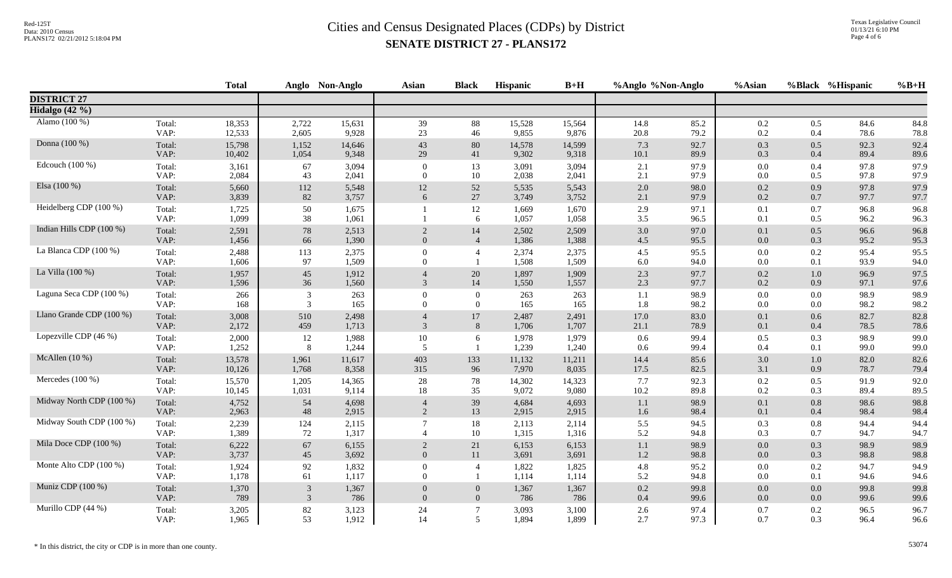|                          |                | <b>Total</b>   |                | Anglo Non-Anglo | <b>Asian</b>               | <b>Black</b>     | Hispanic       | $B+H$          | %Anglo %Non-Anglo |              | %Asian         |                | %Black %Hispanic | $%B+H$       |
|--------------------------|----------------|----------------|----------------|-----------------|----------------------------|------------------|----------------|----------------|-------------------|--------------|----------------|----------------|------------------|--------------|
| <b>DISTRICT 27</b>       |                |                |                |                 |                            |                  |                |                |                   |              |                |                |                  |              |
| Hidalgo (42 %)           |                |                |                |                 |                            |                  |                |                |                   |              |                |                |                  |              |
| Alamo (100 %)            | Total:         | 18,353         | 2,722          | 15,631          | 39                         | 88               | 15,528         | 15,564         | 14.8              | 85.2         | 0.2            | 0.5            | 84.6             | 84.8         |
|                          | VAP:           | 12,533         | 2,605          | 9,928           | 23                         | 46               | 9,855          | 9,876          | 20.8              | 79.2         | 0.2            | 0.4            | 78.6             | 78.8         |
| Donna (100 %)            | Total:         | 15,798         | 1,152          | 14,646          | 43                         | 80               | 14,578         | 14,599         | 7.3               | 92.7         | 0.3            | 0.5            | 92.3             | 92.4         |
|                          | VAP:           | 10,402         | 1,054          | 9,348           | 29                         | 41               | 9,302          | 9,318          | 10.1              | 89.9         | 0.3            | 0.4            | 89.4             | 89.6         |
| Edcouch (100 %)          | Total:         | 3,161          | 67             | 3,094           | $\mathbf{0}$               | 13               | 3,091          | 3,094          | 2.1               | 97.9         | 0.0            | 0.4            | 97.8             | 97.9         |
|                          | VAP:           | 2,084          | 43             | 2,041           | $\Omega$                   | 10               | 2,038          | 2,041          | 2.1               | 97.9         | 0.0            | 0.5            | 97.8             | 97.9         |
| Elsa (100 %)             | Total:         | 5,660          | 112            | 5,548           | 12                         | 52               | 5,535          | 5,543          | 2.0               | 98.0         | 0.2            | 0.9            | 97.8             | 97.9         |
|                          | VAP:           | 3,839          | 82             | 3,757           | 6                          | $27\,$           | 3,749          | 3,752          | 2.1               | 97.9         | 0.2            | $0.7\,$        | 97.7             | 97.7         |
| Heidelberg CDP (100 %)   | Total:<br>VAP: | 1,725<br>1,099 | 50<br>38       | 1,675<br>1,061  |                            | 12<br>6          | 1,669<br>1,057 | 1,670<br>1,058 | 2.9<br>3.5        | 97.1<br>96.5 | 0.1<br>0.1     | 0.7<br>0.5     | 96.8<br>96.2     | 96.8<br>96.3 |
| Indian Hills CDP (100 %) | Total:         | 2,591          | 78             | 2,513           | $\overline{2}$             | 14               | 2,502          | 2,509          | 3.0               | 97.0         | 0.1            | 0.5            | 96.6             | 96.8         |
|                          | VAP:           | 1,456          | 66             | 1,390           | $\overline{0}$             | $\overline{4}$   | 1,386          | 1,388          | 4.5               | 95.5         | 0.0            | 0.3            | 95.2             | 95.3         |
| La Blanca CDP (100 %)    | Total:<br>VAP: | 2,488<br>1,606 | 113<br>97      | 2,375<br>1,509  | $\overline{0}$<br>$\Omega$ | $\overline{4}$   | 2,374<br>1,508 | 2,375<br>1,509 | 4.5<br>6.0        | 95.5<br>94.0 | 0.0<br>0.0     | 0.2<br>0.1     | 95.4<br>93.9     | 95.5<br>94.0 |
| La Villa (100 %)         | Total:<br>VAP: | 1,957<br>1,596 | 45<br>36       | 1,912<br>1,560  | 3                          | 20<br>14         | 1,897<br>1,550 | 1,909<br>1,557 | 2.3<br>2.3        | 97.7<br>97.7 | 0.2<br>0.2     | $1.0\,$<br>0.9 | 96.9<br>97.1     | 97.5<br>97.6 |
| Laguna Seca CDP (100 %)  | Total:         | 266            | 3              | 263             | $\overline{0}$             | $\boldsymbol{0}$ | 263            | 263            | 1.1               | 98.9         | $0.0\,$        | $0.0\,$        | 98.9             | 98.9         |
|                          | VAP:           | 168            | 3              | 165             | $\Omega$                   | $\overline{0}$   | 165            | 165            | 1.8               | 98.2         | 0.0            | $0.0\,$        | 98.2             | 98.2         |
| Llano Grande CDP (100 %) | Total:<br>VAP: | 3,008<br>2,172 | 510<br>459     | 2,498<br>1,713  | $\mathfrak{Z}$             | 17<br>8          | 2,487<br>1,706 | 2,491<br>1,707 | 17.0<br>21.1      | 83.0<br>78.9 | 0.1<br>0.1     | 0.6<br>0.4     | 82.7<br>78.5     | 82.8<br>78.6 |
| Lopezville CDP (46 %)    | Total:<br>VAP: | 2,000<br>1,252 | 12<br>8        | 1,988<br>1,244  | 10<br>5                    | 6                | 1,978<br>1,239 | 1,979<br>1,240 | 0.6<br>0.6        | 99.4<br>99.4 | 0.5<br>0.4     | 0.3<br>0.1     | 98.9<br>99.0     | 99.0<br>99.0 |
| McAllen $(10\%)$         | Total:         | 13,578         | 1,961          | 11,617          | 403                        | 133              | 11,132         | 11,211         | 14.4              | 85.6         | 3.0            | $1.0\,$        | 82.0             | 82.6         |
|                          | VAP:           | 10,126         | 1,768          | 8,358           | 315                        | 96               | 7,970          | 8,035          | 17.5              | 82.5         | 3.1            | 0.9            | 78.7             | 79.4         |
| Mercedes (100 %)         | Total:         | 15,570         | 1,205          | 14,365          | 28                         | 78               | 14,302         | 14,323         | 7.7               | 92.3         | 0.2            | 0.5            | 91.9             | 92.0         |
|                          | VAP:           | 10,145         | 1,031          | 9,114           | 18                         | 35               | 9,072          | 9,080          | 10.2              | 89.8         | 0.2            | 0.3            | 89.4             | 89.5         |
| Midway North CDP (100 %) | Total:         | 4,752          | 54             | 4,698           | $\overline{4}$             | 39               | 4,684          | 4,693          | 1.1               | 98.9         | 0.1            | 0.8            | 98.6             | 98.8         |
|                          | VAP:           | 2,963          | 48             | 2,915           | 2                          | 13               | 2,915          | 2,915          | 1.6               | 98.4         | 0.1            | 0.4            | 98.4             | 98.4         |
| Midway South CDP (100 %) | Total:<br>VAP: | 2,239<br>1,389 | 124<br>72      | 2,115<br>1,317  | $\overline{\mathcal{A}}$   | 18<br>10         | 2,113<br>1,315 | 2,114<br>1,316 | 5.5<br>5.2        | 94.5<br>94.8 | 0.3<br>0.3     | $0.8\,$<br>0.7 | 94.4<br>94.7     | 94.4<br>94.7 |
| Mila Doce CDP (100 %)    | Total:         | 6,222          | 67             | 6,155           | $\overline{2}$             | 21               | 6,153          | 6,153          | 1.1               | 98.9         | 0.0            | 0.3            | 98.9             | 98.9         |
|                          | VAP:           | 3,737          | 45             | 3,692           | $\overline{0}$             | 11               | 3,691          | 3,691          | 1.2               | 98.8         | 0.0            | 0.3            | 98.8             | 98.8         |
| Monte Alto CDP (100 %)   | Total:<br>VAP: | 1,924<br>1,178 | 92<br>61       | 1,832<br>1,117  | $\overline{0}$<br>$\Omega$ | $\overline{4}$   | 1,822<br>1,114 | 1,825<br>1,114 | 4.8<br>5.2        | 95.2<br>94.8 | $0.0\,$<br>0.0 | 0.2<br>0.1     | 94.7<br>94.6     | 94.9<br>94.6 |
| Muniz CDP (100 %)        | Total:         | 1,370          | $\mathfrak{Z}$ | 1,367           | $\overline{0}$             | $\theta$         | 1,367          | 1,367          | 0.2               | 99.8         | 0.0            | $0.0\,$        | 99.8             | 99.8         |
|                          | VAP:           | 789            | 3              | 786             | $\Omega$                   | $\overline{0}$   | 786            | 786            | 0.4               | 99.6         | 0.0            | $0.0\,$        | 99.6             | 99.6         |
| Murillo CDP (44 %)       | Total:         | 3,205          | 82             | 3,123           | 24                         | $\overline{7}$   | 3,093          | 3,100          | 2.6               | 97.4         | 0.7            | 0.2            | 96.5             | 96.7         |
|                          | VAP:           | 1,965          | 53             | 1,912           | 14                         | 5                | 1,894          | 1,899          | 2.7               | 97.3         | 0.7            | 0.3            | 96.4             | 96.6         |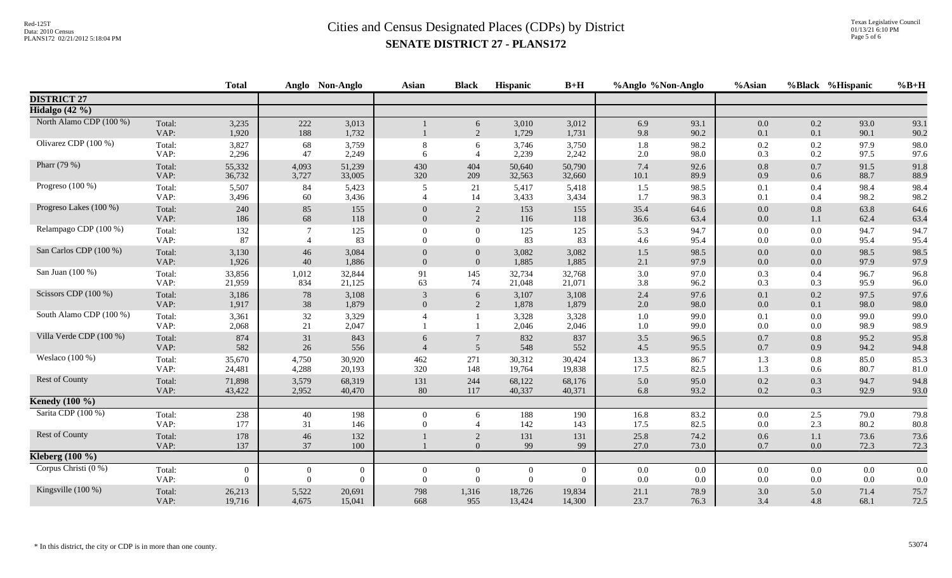|                         |                | <b>Total</b>   |                | Anglo Non-Anglo | <b>Asian</b>        | <b>Black</b>        | <b>Hispanic</b> | $B+H$          | %Anglo %Non-Anglo |              | %Asian         |                | %Black %Hispanic | $%B+H$       |
|-------------------------|----------------|----------------|----------------|-----------------|---------------------|---------------------|-----------------|----------------|-------------------|--------------|----------------|----------------|------------------|--------------|
| <b>DISTRICT 27</b>      |                |                |                |                 |                     |                     |                 |                |                   |              |                |                |                  |              |
| Hidalgo $(42 \%)$       |                |                |                |                 |                     |                     |                 |                |                   |              |                |                |                  |              |
| North Alamo CDP (100 %) | Total:<br>VAP: | 3,235<br>1,920 | 222<br>188     | 3,013<br>1,732  |                     | 6<br>$\overline{2}$ | 3,010<br>1,729  | 3,012<br>1,731 | 6.9<br>9.8        | 93.1<br>90.2 | $0.0\,$<br>0.1 | 0.2<br>0.1     | 93.0<br>90.1     | 93.1<br>90.2 |
| Olivarez CDP (100 %)    | Total:         | 3,827          | 68             | 3,759           | 8                   | 6                   | 3,746           | 3,750          | 1.8               | 98.2         | 0.2            | 0.2            | 97.9             | 98.0         |
|                         | VAP:           | 2,296          | 47             | 2,249           | 6                   | $\overline{4}$      | 2,239           | 2,242          | 2.0               | 98.0         | 0.3            | 0.2            | 97.5             | 97.6         |
| Pharr (79 %)            | Total:         | 55,332         | 4,093          | 51,239          | 430                 | 404                 | 50,640          | 50,790         | 7.4               | 92.6         | 0.8            | $0.7\,$        | 91.5             | 91.8         |
|                         | VAP:           | 36,732         | 3,727          | 33,005          | 320                 | 209                 | 32,563          | 32,660         | 10.1              | 89.9         | 0.9            | 0.6            | 88.7             | 88.9         |
| Progreso $(100\%)$      | Total:         | 5,507          | 84             | 5,423           | 5                   | 21                  | 5,417           | 5,418          | 1.5               | 98.5         | 0.1            | 0.4            | 98.4             | 98.4         |
|                         | VAP:           | 3,496          | 60             | 3,436           | $\Delta$            | 14                  | 3,433           | 3,434          | 1.7               | 98.3         | 0.1            | 0.4            | 98.2             | 98.2         |
| Progreso Lakes (100 %)  | Total:<br>VAP: | 240<br>186     | 85<br>68       | 155<br>118      | $\Omega$            | 2<br>2              | 153<br>116      | 155<br>118     | 35.4<br>36.6      | 64.6<br>63.4 | $0.0\,$<br>0.0 | $0.8\,$<br>1.1 | 63.8<br>62.4     | 64.6<br>63.4 |
| Relampago CDP (100 %)   | Total:         | 132            | 7              | 125             | $\Omega$            | $\mathbf{0}$        | 125             | 125            | 5.3               | 94.7         | $0.0\,$        | $0.0\,$        | 94.7             | 94.7         |
|                         | VAP:           | 87             | $\overline{A}$ | 83              | $\Omega$            | $\Omega$            | 83              | 83             | 4.6               | 95.4         | 0.0            | $0.0\,$        | 95.4             | 95.4         |
| San Carlos CDP (100 %)  | Total:         | 3,130          | 46             | 3,084           | $\overline{0}$      | $\boldsymbol{0}$    | 3,082           | 3,082          | 1.5               | 98.5         | $0.0\,$        | 0.0            | 98.5             | 98.5         |
|                         | VAP:           | 1,926          | 40             | 1,886           | $\overline{0}$      | $\overline{0}$      | 1,885           | 1,885          | 2.1               | 97.9         | 0.0            | $0.0\,$        | 97.9             | 97.9         |
| San Juan (100 %)        | Total:         | 33,856         | 1,012          | 32,844          | 91                  | 145                 | 32,734          | 32,768         | 3.0               | 97.0         | 0.3            | 0.4            | 96.7             | 96.8         |
|                         | VAP:           | 21,959         | 834            | 21,125          | 63                  | 74                  | 21,048          | 21,071         | 3.8               | 96.2         | 0.3            | 0.3            | 95.9             | 96.0         |
| Scissors CDP (100 %)    | Total:         | 3,186          | 78             | 3,108           | 3                   | 6                   | 3,107           | 3,108          | 2.4               | 97.6         | 0.1            | 0.2            | 97.5             | 97.6         |
|                         | VAP:           | 1,917          | 38             | 1,879           | $\Omega$            | 2                   | 1,878           | 1,879          | 2.0               | 98.0         | 0.0            | 0.1            | 98.0             | 98.0         |
| South Alamo CDP (100 %) | Total:<br>VAP: | 3,361<br>2,068 | 32<br>21       | 3,329<br>2,047  |                     |                     | 3,328<br>2,046  | 3,328<br>2,046 | 1.0<br>1.0        | 99.0<br>99.0 | 0.1<br>0.0     | $0.0\,$<br>0.0 | 99.0<br>98.9     | 99.0<br>98.9 |
| Villa Verde CDP (100 %) | Total:<br>VAP: | 874<br>582     | 31<br>26       | 843<br>556      | 6<br>$\overline{4}$ | 5                   | 832<br>548      | 837<br>552     | 3.5<br>4.5        | 96.5<br>95.5 | 0.7<br>0.7     | 0.8<br>0.9     | 95.2<br>94.2     | 95.8<br>94.8 |
| Weslaco $(100\%)$       | Total:         | 35,670         | 4,750          | 30,920          | 462                 | 271                 | 30,312          | 30,424         | 13.3              | 86.7         | 1.3            | $0.8\,$        | 85.0             | 85.3         |
|                         | VAP:           | 24,481         | 4,288          | 20,193          | 320                 | 148                 | 19,764          | 19,838         | 17.5              | 82.5         | 1.3            | 0.6            | 80.7             | 81.0         |
| Rest of County          | Total:         | 71,898         | 3,579          | 68,319          | 131                 | 244                 | 68,122          | 68,176         | 5.0               | 95.0         | 0.2            | 0.3            | 94.7             | 94.8         |
|                         | VAP:           | 43,422         | 2,952          | 40,470          | 80                  | 117                 | 40,337          | 40,371         | 6.8               | 93.2         | 0.2            | 0.3            | 92.9             | 93.0         |
| <b>Kenedy</b> (100 %)   |                |                |                |                 |                     |                     |                 |                |                   |              |                |                |                  |              |
| Sarita CDP (100 %)      | Total:         | 238            | 40             | 198             | $\overline{0}$      | 6                   | 188             | 190            | 16.8              | 83.2         | 0.0            | 2.5            | 79.0             | 79.8         |
|                         | VAP:           | 177            | 31             | 146             | $\Omega$            | $\overline{4}$      | 142             | 143            | 17.5              | 82.5         | 0.0            | 2.3            | 80.2             | 80.8         |
| Rest of County          | Total:<br>VAP: | 178<br>137     | 46<br>37       | 132<br>100      |                     | 2<br>$\Omega$       | 131<br>99       | 131<br>99      | 25.8<br>27.0      | 74.2<br>73.0 | 0.6<br>0.7     | 1.1<br>0.0     | 73.6<br>72.3     | 73.6<br>72.3 |
| Kleberg $(100\%)$       |                |                |                |                 |                     |                     |                 |                |                   |              |                |                |                  |              |
| Corpus Christi (0 %)    | Total:         | $\mathbf{0}$   | $\overline{0}$ | $\overline{0}$  | $\overline{0}$      | $\overline{0}$      | $\mathbf{0}$    | $\bf{0}$       | 0.0               | $0.0\,$      | $0.0\,$        | $0.0\,$        | $0.0\,$          | 0.0          |
|                         | VAP:           | $\overline{0}$ | $\Omega$       | $\overline{0}$  | $\Omega$            | $\mathbf{0}$        | $\overline{0}$  | $\overline{0}$ | 0.0               | 0.0          | 0.0            | $0.0\,$        | 0.0              | 0.0          |
| Kingsville $(100\%)$    | Total:         | 26,213         | 5,522          | 20,691          | 798                 | 1,316               | 18,726          | 19,834         | 21.1              | 78.9         | 3.0            | 5.0            | 71.4             | 75.7         |
|                         | VAP:           | 19,716         | 4,675          | 15,041          | 668                 | 955                 | 13,424          | 14,300         | 23.7              | 76.3         | 3.4            | 4.8            | 68.1             | 72.5         |